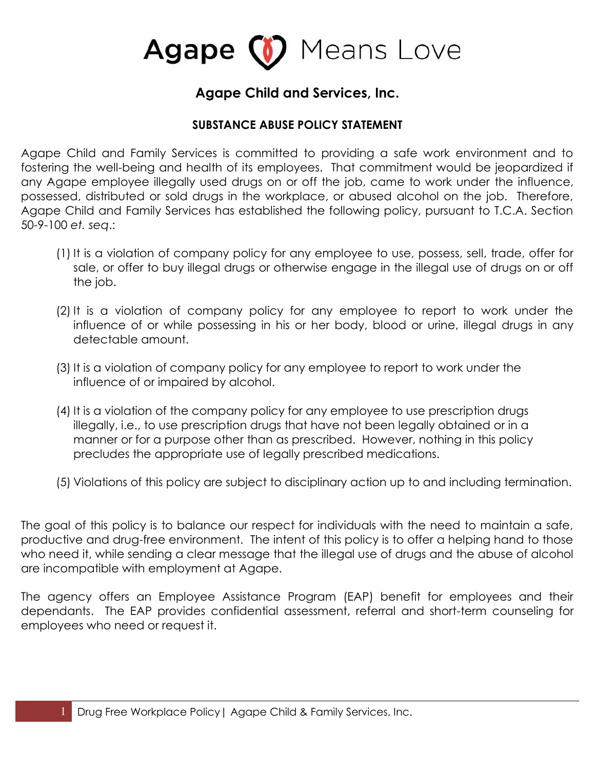# Agape (1) Means Love

### **Agape Child and Services, Inc.**

### **SUBSTANCE ABUSE POLICY STATEMENT**

Agape Child and Family Services is committed to providing a safe work environment and to fostering the well-being and health of its employees. That commitment would be jeopardized if any Agape employee illegally used drugs on or off the job, came to work under the influence, possessed, distributed or sold drugs in the workplace, or abused alcohol on the job. Therefore, Agape Child and Family Services has established the following policy, pursuant to T.C.A. Section 50-9-100 *et. seq*.:

- (1) It is a violation of company policy for any employee to use, possess, sell, trade, offer for sale, or offer to buy illegal drugs or otherwise engage in the illegal use of drugs on or off the job.
- (2) It is a violation of company policy for any employee to report to work under the influence of or while possessing in his or her body, blood or urine, illegal drugs in any detectable amount.
- (3) It is a violation of company policy for any employee to report to work under the influence of or impaired by alcohol.
- (4) It is a violation of the company policy for any employee to use prescription drugs illegally, i.e., to use prescription drugs that have not been legally obtained or in a manner or for a purpose other than as prescribed. However, nothing in this policy precludes the appropriate use of legally prescribed medications.
- (5) Violations of this policy are subject to disciplinary action up to and including termination.

The goal of this policy is to balance our respect for individuals with the need to maintain a safe, productive and drug-free environment. The intent of this policy is to offer a helping hand to those who need it, while sending a clear message that the illegal use of drugs and the abuse of alcohol are incompatible with employment at Agape.

The agency offers an Employee Assistance Program (EAP) benefit for employees and their dependants. The EAP provides confidential assessment, referral and short-term counseling for employees who need or request it.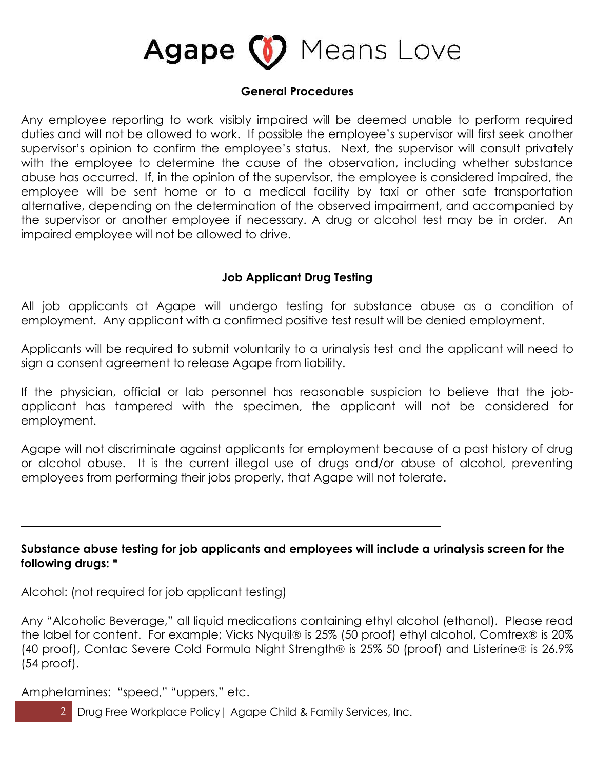

#### **General Procedures**

Any employee reporting to work visibly impaired will be deemed unable to perform required duties and will not be allowed to work. If possible the employee's supervisor will first seek another supervisor's opinion to confirm the employee's status. Next, the supervisor will consult privately with the employee to determine the cause of the observation, including whether substance abuse has occurred. If, in the opinion of the supervisor, the employee is considered impaired, the employee will be sent home or to a medical facility by taxi or other safe transportation alternative, depending on the determination of the observed impairment, and accompanied by the supervisor or another employee if necessary. A drug or alcohol test may be in order. An impaired employee will not be allowed to drive.

#### **Job Applicant Drug Testing**

All job applicants at Agape will undergo testing for substance abuse as a condition of employment. Any applicant with a confirmed positive test result will be denied employment.

Applicants will be required to submit voluntarily to a urinalysis test and the applicant will need to sign a consent agreement to release Agape from liability.

If the physician, official or lab personnel has reasonable suspicion to believe that the jobapplicant has tampered with the specimen, the applicant will not be considered for employment.

Agape will not discriminate against applicants for employment because of a past history of drug or alcohol abuse. It is the current illegal use of drugs and/or abuse of alcohol, preventing employees from performing their jobs properly, that Agape will not tolerate.

#### **Substance abuse testing for job applicants and employees will include a urinalysis screen for the following drugs: \***

Alcohol: (not required for job applicant testing)

 $\overline{a}$ 

Any "Alcoholic Beverage," all liquid medications containing ethyl alcohol (ethanol). Please read the label for content. For example; Vicks Nyquil® is 25% (50 proof) ethyl alcohol, Comtrex® is 20% (40 proof), Contac Severe Cold Formula Night Strength® is 25% 50 (proof) and Listerine® is 26.9% (54 proof).

Amphetamines: "speed," "uppers," etc.